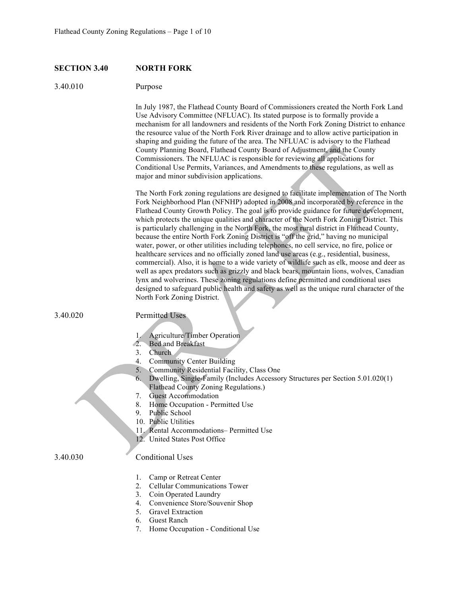## **SECTION 3.40 NORTH FORK**

## 3.40.010 Purpose

In July 1987, the Flathead County Board of Commissioners created the North Fork Land Use Advisory Committee (NFLUAC). Its stated purpose is to formally provide a mechanism for all landowners and residents of the North Fork Zoning District to enhance the resource value of the North Fork River drainage and to allow active participation in shaping and guiding the future of the area. The NFLUAC is advisory to the Flathead County Planning Board, Flathead County Board of Adjustment, and the County Commissioners. The NFLUAC is responsible for reviewing all applications for Conditional Use Permits, Variances, and Amendments to these regulations, as well as major and minor subdivision applications.

The North Fork zoning regulations are designed to facilitate implementation of The North Fork Neighborhood Plan (NFNHP) adopted in 2008 and incorporated by reference in the Flathead County Growth Policy. The goal is to provide guidance for future development, which protects the unique qualities and character of the North Fork Zoning District. This is particularly challenging in the North Fork, the most rural district in Flathead County, because the entire North Fork Zoning District is "off the grid," having no municipal water, power, or other utilities including telephones, no cell service, no fire, police or healthcare services and no officially zoned land use areas (e.g., residential, business, commercial). Also, it is home to a wide variety of wildlife such as elk, moose and deer as well as apex predators such as grizzly and black bears, mountain lions, wolves, Canadian lynx and wolverines. These zoning regulations define permitted and conditional uses designed to safeguard public health and safety as well as the unique rural character of the North Fork Zoning District.

3.40.020 Permitted Uses

- 1. Agriculture/Timber Operation
- 2. Bed and Breakfast
- 3. Church
- 4. Community Center Building
- 5. Community Residential Facility, Class One
- 6. Dwelling, Single-Family (Includes Accessory Structures per Section 5.01.020(1) Flathead County Zoning Regulations.)
- 7. Guest Accommodation
- 8. Home Occupation Permitted Use
- 9. Public School
- 10. Public Utilities
- 11. Rental Accommodations– Permitted Use
- 12. United States Post Office

#### 3.40.030 Conditional Uses

- 1. Camp or Retreat Center
- 2. Cellular Communications Tower
- 3. Coin Operated Laundry
- 4. Convenience Store/Souvenir Shop
- 5. Gravel Extraction
- 6. Guest Ranch
- 7. Home Occupation Conditional Use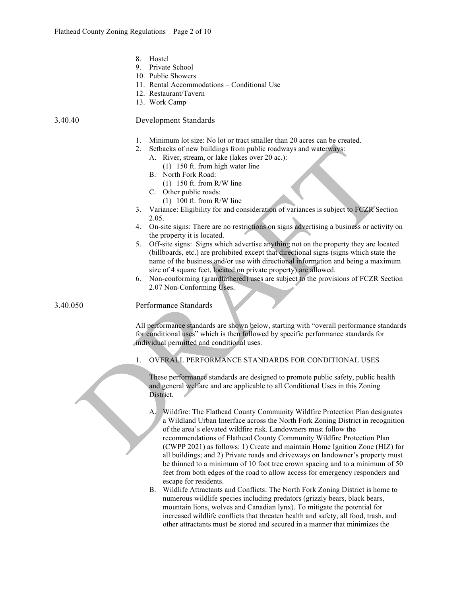|          | 8.<br>Hostel<br>Private School<br>9.<br>10. Public Showers<br>11. Rental Accommodations – Conditional Use<br>12. Restaurant/Tavern<br>13. Work Camp                                                                                                                                                                                                                                                                                                                                                                                                                                                                                                                                                                                                                 |
|----------|---------------------------------------------------------------------------------------------------------------------------------------------------------------------------------------------------------------------------------------------------------------------------------------------------------------------------------------------------------------------------------------------------------------------------------------------------------------------------------------------------------------------------------------------------------------------------------------------------------------------------------------------------------------------------------------------------------------------------------------------------------------------|
| 3.40.40  | Development Standards                                                                                                                                                                                                                                                                                                                                                                                                                                                                                                                                                                                                                                                                                                                                               |
|          | 1.<br>Minimum lot size: No lot or tract smaller than 20 acres can be created.<br>Setbacks of new buildings from public roadways and waterways:<br>2.<br>A. River, stream, or lake (lakes over 20 ac.):<br>(1) 150 ft. from high water line<br>B. North Fork Road:<br>$(1)$ 150 ft. from R/W line<br>C. Other public roads:<br>$(1)$ 100 ft. from R/W line                                                                                                                                                                                                                                                                                                                                                                                                           |
|          | Variance: Eligibility for and consideration of variances is subject to FCZR Section<br>3.<br>2.05.                                                                                                                                                                                                                                                                                                                                                                                                                                                                                                                                                                                                                                                                  |
|          | On-site signs: There are no restrictions on signs advertising a business or activity on<br>4.                                                                                                                                                                                                                                                                                                                                                                                                                                                                                                                                                                                                                                                                       |
|          | the property it is located.<br>Off-site signs: Signs which advertise anything not on the property they are located<br>5.<br>(billboards, etc.) are prohibited except that directional signs (signs which state the<br>name of the business and/or use with directional information and being a maximum<br>size of 4 square feet, located on private property) are allowed.                                                                                                                                                                                                                                                                                                                                                                                          |
|          | Non-conforming (grandfathered) uses are subject to the provisions of FCZR Section<br>6.<br>2.07 Non-Conforming Uses.                                                                                                                                                                                                                                                                                                                                                                                                                                                                                                                                                                                                                                                |
| 3.40.050 | Performance Standards                                                                                                                                                                                                                                                                                                                                                                                                                                                                                                                                                                                                                                                                                                                                               |
|          | All performance standards are shown below, starting with "overall performance standards<br>for conditional uses" which is then followed by specific performance standards for<br>individual permitted and conditional uses.                                                                                                                                                                                                                                                                                                                                                                                                                                                                                                                                         |
|          | OVERALL PERFORMANCE STANDARDS FOR CONDITIONAL USES<br>1.                                                                                                                                                                                                                                                                                                                                                                                                                                                                                                                                                                                                                                                                                                            |
|          | These performance standards are designed to promote public safety, public health<br>and general welfare and are applicable to all Conditional Uses in this Zoning<br>District.                                                                                                                                                                                                                                                                                                                                                                                                                                                                                                                                                                                      |
|          | Wildfire: The Flathead County Community Wildfire Protection Plan designates<br>A.<br>a Wildland Urban Interface across the North Fork Zoning District in recognition<br>of the area's elevated wildfire risk. Landowners must follow the<br>recommendations of Flathead County Community Wildfire Protection Plan<br>(CWPP 2021) as follows: 1) Create and maintain Home Ignition Zone (HIZ) for<br>all buildings; and 2) Private roads and driveways on landowner's property must<br>be thinned to a minimum of 10 foot tree crown spacing and to a minimum of 50<br>feet from both edges of the road to allow access for emergency responders and<br>escape for residents.<br>Wildlife Attractants and Conflicts: The North Fork Zoning District is home to<br>B. |

B. Wildlife Attractants and Conflicts: The North Fork Zoning District is home to numerous wildlife species including predators (grizzly bears, black bears, mountain lions, wolves and Canadian lynx). To mitigate the potential for increased wildlife conflicts that threaten health and safety, all food, trash, and other attractants must be stored and secured in a manner that minimizes the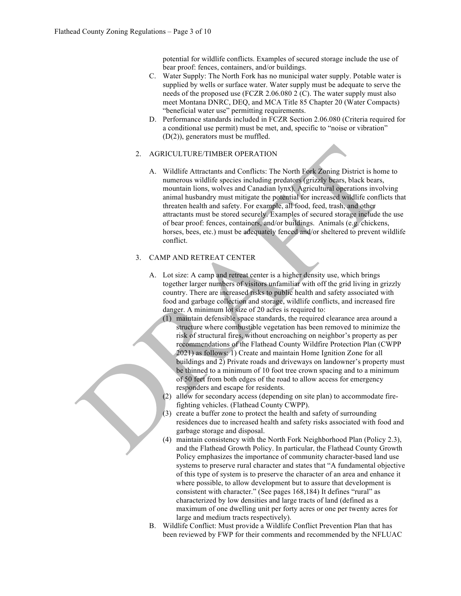potential for wildlife conflicts. Examples of secured storage include the use of bear proof: fences, containers, and/or buildings.

- C. Water Supply: The North Fork has no municipal water supply. Potable water is supplied by wells or surface water. Water supply must be adequate to serve the needs of the proposed use (FCZR 2.06.080 2 (C). The water supply must also meet Montana DNRC, DEQ, and MCA Title 85 Chapter 20 (Water Compacts) "beneficial water use" permitting requirements.
- D. Performance standards included in FCZR Section 2.06.080 (Criteria required for a conditional use permit) must be met, and, specific to "noise or vibration" (D(2)), generators must be muffled.

## 2. AGRICULTURE/TIMBER OPERATION

A. Wildlife Attractants and Conflicts: The North Fork Zoning District is home to numerous wildlife species including predators (grizzly bears, black bears, mountain lions, wolves and Canadian lynx). Agricultural operations involving animal husbandry must mitigate the potential for increased wildlife conflicts that threaten health and safety. For example, all food, feed, trash, and other attractants must be stored securely. Examples of secured storage include the use of bear proof: fences, containers, and/or buildings. Animals (e.g. chickens, horses, bees, etc.) must be adequately fenced and/or sheltered to prevent wildlife conflict.

## 3. CAMP AND RETREAT CENTER

- A. Lot size: A camp and retreat center is a higher density use, which brings together larger numbers of visitors unfamiliar with off the grid living in grizzly country. There are increased risks to public health and safety associated with food and garbage collection and storage, wildlife conflicts, and increased fire danger. A minimum lot size of 20 acres is required to:
	- (1) maintain defensible space standards, the required clearance area around a structure where combustible vegetation has been removed to minimize the risk of structural fires, without encroaching on neighbor's property as per recommendations of the Flathead County Wildfire Protection Plan (CWPP 2021) as follows: 1) Create and maintain Home Ignition Zone for all buildings and 2) Private roads and driveways on landowner's property must be thinned to a minimum of 10 foot tree crown spacing and to a minimum of 50 feet from both edges of the road to allow access for emergency responders and escape for residents.
	- (2) allow for secondary access (depending on site plan) to accommodate firefighting vehicles. (Flathead County CWPP).
	- (3) create a buffer zone to protect the health and safety of surrounding residences due to increased health and safety risks associated with food and garbage storage and disposal.
	- (4) maintain consistency with the North Fork Neighborhood Plan (Policy 2.3), and the Flathead Growth Policy. In particular, the Flathead County Growth Policy emphasizes the importance of community character-based land use systems to preserve rural character and states that "A fundamental objective of this type of system is to preserve the character of an area and enhance it where possible, to allow development but to assure that development is consistent with character." (See pages 168,184) It defines "rural" as characterized by low densities and large tracts of land (defined as a maximum of one dwelling unit per forty acres or one per twenty acres for large and medium tracts respectively).
- B. Wildlife Conflict: Must provide a Wildlife Conflict Prevention Plan that has been reviewed by FWP for their comments and recommended by the NFLUAC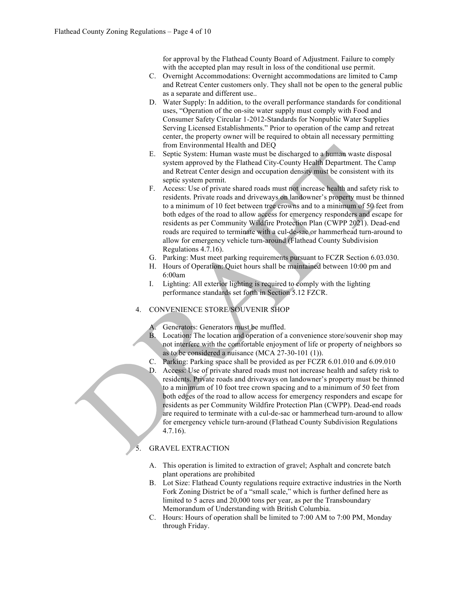for approval by the Flathead County Board of Adjustment. Failure to comply with the accepted plan may result in loss of the conditional use permit.

- C. Overnight Accommodations: Overnight accommodations are limited to Camp and Retreat Center customers only. They shall not be open to the general public as a separate and different use..
- D. Water Supply: In addition, to the overall performance standards for conditional uses, "Operation of the on-site water supply must comply with Food and Consumer Safety Circular 1-2012-Standards for Nonpublic Water Supplies Serving Licensed Establishments." Prior to operation of the camp and retreat center, the property owner will be required to obtain all necessary permitting from Environmental Health and DEQ
- E. Septic System: Human waste must be discharged to a human waste disposal system approved by the Flathead City-County Health Department. The Camp and Retreat Center design and occupation density must be consistent with its septic system permit.
- F. Access: Use of private shared roads must not increase health and safety risk to residents. Private roads and driveways on landowner's property must be thinned to a minimum of 10 feet between tree crowns and to a minimum of 50 feet from both edges of the road to allow access for emergency responders and escape for residents as per Community Wildfire Protection Plan (CWPP 2021). Dead-end roads are required to terminate with a cul-de-sac or hammerhead turn-around to allow for emergency vehicle turn-around (Flathead County Subdivision Regulations 4.7.16).
- G. Parking: Must meet parking requirements pursuant to FCZR Section 6.03.030.
- H. Hours of Operation: Quiet hours shall be maintained between 10:00 pm and 6:00am
- I. Lighting: All exterior lighting is required to comply with the lighting performance standards set forth in Section 5.12 FZCR.
- 4. CONVENIENCE STORE/SOUVENIR SHOP
	- Generators: Generators must be muffled.
	- B. Location: The location and operation of a convenience store/souvenir shop may not interfere with the comfortable enjoyment of life or property of neighbors so as to be considered a nuisance (MCA 27-30-101 (1)).
	- C. Parking: Parking space shall be provided as per FCZR 6.01.010 and 6.09.010
	- D. Access: Use of private shared roads must not increase health and safety risk to residents. Private roads and driveways on landowner's property must be thinned to a minimum of 10 foot tree crown spacing and to a minimum of 50 feet from both edges of the road to allow access for emergency responders and escape for residents as per Community Wildfire Protection Plan (CWPP). Dead-end roads are required to terminate with a cul-de-sac or hammerhead turn-around to allow for emergency vehicle turn-around (Flathead County Subdivision Regulations 4.7.16).

## 5. GRAVEL EXTRACTION

- A. This operation is limited to extraction of gravel; Asphalt and concrete batch plant operations are prohibited
- B. Lot Size: Flathead County regulations require extractive industries in the North Fork Zoning District be of a "small scale," which is further defined here as limited to 5 acres and 20,000 tons per year, as per the Transboundary Memorandum of Understanding with British Columbia.
- C. Hours: Hours of operation shall be limited to 7:00 AM to 7:00 PM, Monday through Friday.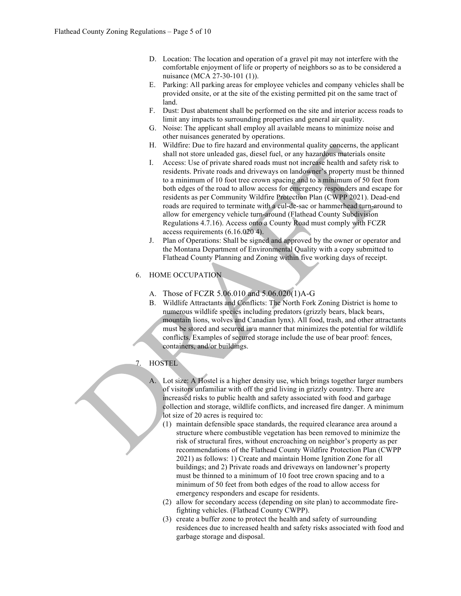- D. Location: The location and operation of a gravel pit may not interfere with the comfortable enjoyment of life or property of neighbors so as to be considered a nuisance (MCA 27-30-101 (1)).
- E. Parking: All parking areas for employee vehicles and company vehicles shall be provided onsite, or at the site of the existing permitted pit on the same tract of land.
- F. Dust: Dust abatement shall be performed on the site and interior access roads to limit any impacts to surrounding properties and general air quality.
- G. Noise: The applicant shall employ all available means to minimize noise and other nuisances generated by operations.
- H. Wildfire: Due to fire hazard and environmental quality concerns, the applicant shall not store unleaded gas, diesel fuel, or any hazardous materials onsite
- I. Access: Use of private shared roads must not increase health and safety risk to residents. Private roads and driveways on landowner's property must be thinned to a minimum of 10 foot tree crown spacing and to a minimum of 50 feet from both edges of the road to allow access for emergency responders and escape for residents as per Community Wildfire Protection Plan (CWPP 2021). Dead-end roads are required to terminate with a cul-de-sac or hammerhead turn-around to allow for emergency vehicle turn-around (Flathead County Subdivision Regulations 4.7.16). Access onto a County Road must comply with FCZR access requirements (6.16.020 4).
- J. Plan of Operations: Shall be signed and approved by the owner or operator and the Montana Department of Environmental Quality with a copy submitted to Flathead County Planning and Zoning within five working days of receipt.

# 6. HOME OCCUPATION

- A. Those of FCZR 5.06.010 and 5.06.020(1)A-G
- B. Wildlife Attractants and Conflicts: The North Fork Zoning District is home to numerous wildlife species including predators (grizzly bears, black bears, mountain lions, wolves and Canadian lynx). All food, trash, and other attractants must be stored and secured in a manner that minimizes the potential for wildlife conflicts. Examples of secured storage include the use of bear proof: fences, containers, and/or buildings.
- 7. HOSTEL

A. Lot size: A Hostel is a higher density use, which brings together larger numbers of visitors unfamiliar with off the grid living in grizzly country. There are increased risks to public health and safety associated with food and garbage collection and storage, wildlife conflicts, and increased fire danger. A minimum lot size of 20 acres is required to:

- (1) maintain defensible space standards, the required clearance area around a structure where combustible vegetation has been removed to minimize the risk of structural fires, without encroaching on neighbor's property as per recommendations of the Flathead County Wildfire Protection Plan (CWPP 2021) as follows: 1) Create and maintain Home Ignition Zone for all buildings; and 2) Private roads and driveways on landowner's property must be thinned to a minimum of 10 foot tree crown spacing and to a minimum of 50 feet from both edges of the road to allow access for emergency responders and escape for residents.
- (2) allow for secondary access (depending on site plan) to accommodate firefighting vehicles. (Flathead County CWPP).
- (3) create a buffer zone to protect the health and safety of surrounding residences due to increased health and safety risks associated with food and garbage storage and disposal.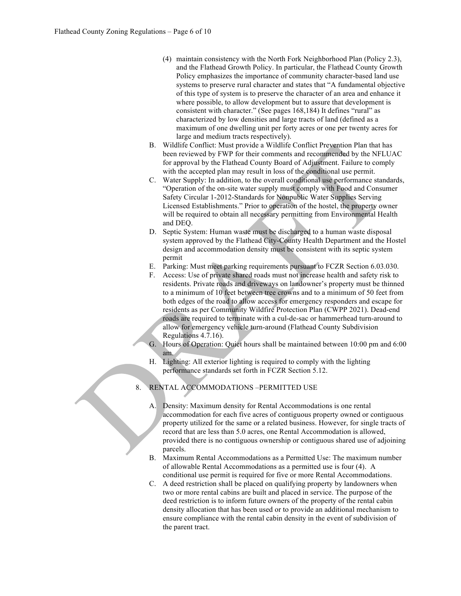- (4) maintain consistency with the North Fork Neighborhood Plan (Policy 2.3), and the Flathead Growth Policy. In particular, the Flathead County Growth Policy emphasizes the importance of community character-based land use systems to preserve rural character and states that "A fundamental objective of this type of system is to preserve the character of an area and enhance it where possible, to allow development but to assure that development is consistent with character." (See pages 168,184) It defines "rural" as characterized by low densities and large tracts of land (defined as a maximum of one dwelling unit per forty acres or one per twenty acres for large and medium tracts respectively).
- B. Wildlife Conflict: Must provide a Wildlife Conflict Prevention Plan that has been reviewed by FWP for their comments and recommended by the NFLUAC for approval by the Flathead County Board of Adjustment. Failure to comply with the accepted plan may result in loss of the conditional use permit.
- C. Water Supply: In addition, to the overall conditional use performance standards, "Operation of the on-site water supply must comply with Food and Consumer Safety Circular 1-2012-Standards for Nonpublic Water Supplies Serving Licensed Establishments." Prior to operation of the hostel, the property owner will be required to obtain all necessary permitting from Environmental Health and DEQ.
- D. Septic System: Human waste must be discharged to a human waste disposal system approved by the Flathead City-County Health Department and the Hostel design and accommodation density must be consistent with its septic system permit
- E. Parking: Must meet parking requirements pursuant to FCZR Section 6.03.030.
- F. Access: Use of private shared roads must not increase health and safety risk to residents. Private roads and driveways on landowner's property must be thinned to a minimum of 10 feet between tree crowns and to a minimum of 50 feet from both edges of the road to allow access for emergency responders and escape for residents as per Community Wildfire Protection Plan (CWPP 2021). Dead-end roads are required to terminate with a cul-de-sac or hammerhead turn-around to allow for emergency vehicle turn-around (Flathead County Subdivision Regulations 4.7.16).
- G. Hours of Operation: Quiet hours shall be maintained between 10:00 pm and 6:00 am.
- H. Lighting: All exterior lighting is required to comply with the lighting performance standards set forth in FCZR Section 5.12.
- 8. RENTAL ACCOMMODATIONS –PERMITTED USE
	- A. Density: Maximum density for Rental Accommodations is one rental accommodation for each five acres of contiguous property owned or contiguous property utilized for the same or a related business. However, for single tracts of record that are less than 5.0 acres, one Rental Accommodation is allowed, provided there is no contiguous ownership or contiguous shared use of adjoining parcels.
	- B. Maximum Rental Accommodations as a Permitted Use: The maximum number of allowable Rental Accommodations as a permitted use is four (4). A conditional use permit is required for five or more Rental Accommodations.
	- C. A deed restriction shall be placed on qualifying property by landowners when two or more rental cabins are built and placed in service. The purpose of the deed restriction is to inform future owners of the property of the rental cabin density allocation that has been used or to provide an additional mechanism to ensure compliance with the rental cabin density in the event of subdivision of the parent tract.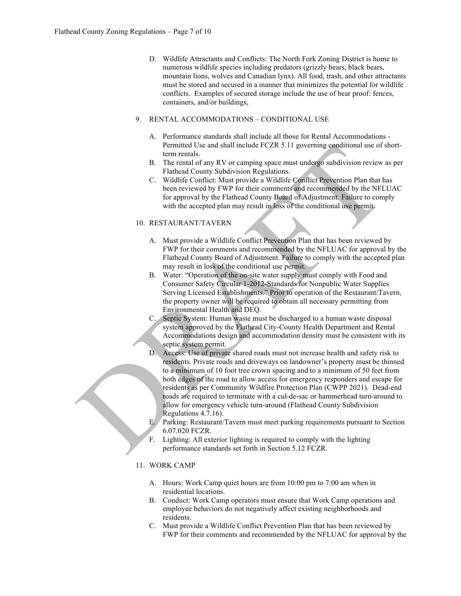D. Wildlife Attractants and Conflicts: The North Fork Zoning District is home to numerous wildlife species including predators (grizzly bears, black bears, mountain lions, wolves and Canadian lynx). All food, trash, and other attractants must be stored and secured in a manner that minimizes the potential for wildlife conflicts. Examples of secured storage include the use of bear proof: fences, containers, and/or buildings,

### 9. RENTAL ACCOMMODATIONS – CONDITIONAL USE

- A. Performance standards shall include all those for Rental Accommodations Permitted Use and shall include FCZR 5.11 governing conditional use of shortterm rentals.
- B. The rental of any RV or camping space must undergo subdivision review as per Flathead County Subdivision Regulations.
- C. Wildlife Conflict: Must provide a Wildlife Conflict Prevention Plan that has been reviewed by FWP for their comments and recommended by the NFLUAC for approval by the Flathead County Board of Adjustment. Failure to comply with the accepted plan may result in loss of the conditional use permit.

## 10. RESTAURANT/TAVERN

- A. Must provide a Wildlife Conflict Prevention Plan that has been reviewed by FWP for their comments and recommended by the NFLUAC for approval by the Flathead County Board of Adjustment. Failure to comply with the accepted plan may result in loss of the conditional use permit.
- B. Water: "Operation of the on-site water supply must comply with Food and Consumer Safety Circular 1-2012-Standards for Nonpublic Water Supplies Serving Licensed Establishments." Prior to operation of the Restaurant/Tavern, the property owner will be required to obtain all necessary permitting from Environmental Health and DEQ.
- C. Septic System: Human waste must be discharged to a human waste disposal system approved by the Flathead City-County Health Department and Rental Accommodations design and accommodation density must be consistent with its septic system permit.
- D. Access: Use of private shared roads must not increase health and safety risk to residents. Private roads and driveways on landowner's property must be thinned to a minimum of 10 foot tree crown spacing and to a minimum of 50 feet from both edges of the road to allow access for emergency responders and escape for residents as per Community Wildfire Protection Plan (CWPP 2021). Dead-end roads are required to terminate with a cul-de-sac or hammerhead turn-around to allow for emergency vehicle turn-around (Flathead County Subdivision Regulations 4.7.16).
- E. Parking: Restaurant/Tavern must meet parking requirements pursuant to Section 6.07.020 FCZR.
- F. Lighting: All exterior lighting is required to comply with the lighting performance standards set forth in Section 5.12 FCZR.

## 11. WORK CAMP

- A. Hours: Work Camp quiet hours are from 10:00 pm to 7:00 am when in residential locations.
- B. Conduct: Work Camp operators must ensure that Work Camp operations and employee behaviors do not negatively affect existing neighborhoods and residents.
- C. Must provide a Wildlife Conflict Prevention Plan that has been reviewed by FWP for their comments and recommended by the NFLUAC for approval by the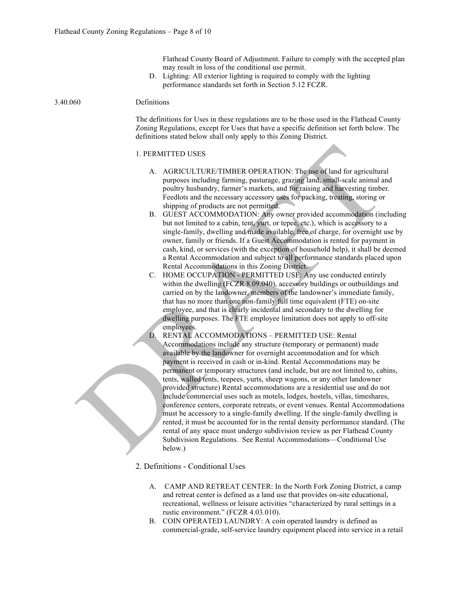Flathead County Board of Adjustment. Failure to comply with the accepted plan may result in loss of the conditional use permit.

D. Lighting: All exterior lighting is required to comply with the lighting performance standards set forth in Section 5.12 FCZR.

#### 3.40.060 Definitions

The definitions for Uses in these regulations are to be those used in the Flathead County Zoning Regulations, except for Uses that have a specific definition set forth below. The definitions stated below shall only apply to this Zoning District.

#### 1. PERMITTED USES

- A. AGRICULTURE/TIMBER OPERATION: The use of land for agricultural purposes including farming, pasturage, grazing land, small-scale animal and poultry husbandry, farmer's markets, and for raising and harvesting timber. Feedlots and the necessary accessory uses for packing, treating, storing or shipping of products are not permitted.
- B. GUEST ACCOMMODATION: Any owner provided accommodation (including but not limited to a cabin, tent, yurt, or tepee, etc.), which is accessory to a single-family, dwelling and made available, free of charge, for overnight use by owner, family or friends. If a Guest Accommodation is rented for payment in cash, kind, or services (with the exception of household help), it shall be deemed a Rental Accommodation and subject to all performance standards placed upon Rental Accommodations in this Zoning District.
- C. HOME OCCUPATION PERMITTED USE: Any use conducted entirely within the dwelling (FCZR 8.09.040), accessory buildings or outbuildings and carried on by the landowner, members of the landowner's immediate family, that has no more than one non-family full time equivalent (FTE) on-site employee, and that is clearly incidental and secondary to the dwelling for dwelling purposes. The FTE employee limitation does not apply to off-site employees.
- D. RENTAL ACCOMMODATIONS PERMITTED USE: Rental Accommodations include any structure (temporary or permanent) made available by the landowner for overnight accommodation and for which payment is received in cash or in-kind. Rental Accommodations may be permanent or temporary structures (and include, but are not limited to, cabins, tents, walled tents, teepees, yurts, sheep wagons, or any other landowner provided structure) Rental accommodations are a residential use and do not include commercial uses such as motels, lodges, hostels, villas, timeshares, conference centers, corporate retreats, or event venues. Rental Accommodations must be accessory to a single-family dwelling. If the single-family dwelling is rented, it must be accounted for in the rental density performance standard. (The rental of any space must undergo subdivision review as per Flathead County Subdivision Regulations. See Rental Accommodations—Conditional Use below.)
- 2. Definitions Conditional Uses
	- A. CAMP AND RETREAT CENTER: In the North Fork Zoning District, a camp and retreat center is defined as a land use that provides on-site educational, recreational, wellness or leisure activities "characterized by rural settings in a rustic environment." (FCZR 4.03.010).
	- B. COIN OPERATED LAUNDRY: A coin operated laundry is defined as commercial-grade, self-service laundry equipment placed into service in a retail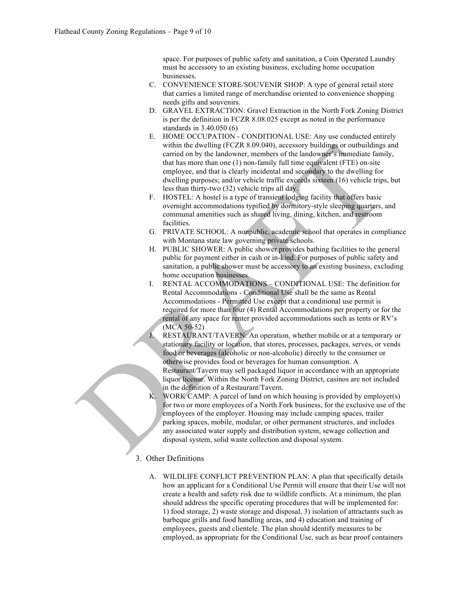space. For purposes of public safety and sanitation, a Coin Operated Laundry must be accessory to an existing business, excluding home occupation businesses.

- C. CONVENIENCE STORE/SOUVENIR SHOP: A type of general retail store that carries a limited range of merchandise oriented to convenience shopping needs gifts and souvenirs.
- D. GRAVEL EXTRACTION: Gravel Extraction in the North Fork Zoning District is per the definition in FCZR 8.08.025 except as noted in the performance standards in 3.40.050 (6)
- E. HOME OCCUPATION CONDITIONAL USE: Any use conducted entirely within the dwelling (FCZR 8.09.040), accessory buildings or outbuildings and carried on by the landowner, members of the landowner's immediate family, that has more than one (1) non-family full time equivalent (FTE) on-site employee, and that is clearly incidental and secondary to the dwelling for dwelling purposes; and/or vehicle traffic exceeds sixteen (16) vehicle trips, but less than thirty-two (32) vehicle trips all day.
- F. HOSTEL: A hostel is a type of transient lodging facility that offers basic overnight accommodations typified by dormitory-style sleeping quarters, and communal amenities such as shared living, dining, kitchen, and restroom facilities.
- G. PRIVATE SCHOOL: A nonpublic, academic school that operates in compliance with Montana state law governing private schools.
- H. PUBLIC SHOWER: A public shower provides bathing facilities to the general public for payment either in cash or in-kind. For purposes of public safety and sanitation, a public shower must be accessory to an existing business, excluding home occupation businesses.
- I. RENTAL ACCOMMODATIONS CONDITIONAL USE: The definition for Rental Accommodations - Conditional Use shall be the same as Rental Accommodations - Permitted Use except that a conditional use permit is required for more than four (4) Rental Accommodations per property or for the rental of any space for renter provided accommodations such as tents or RV's (MCA 50-52)
- J. RESTAURANT/TAVERN: An operation, whether mobile or at a temporary or stationary facility or location, that stores, processes, packages, serves, or vends food or beverages (alcoholic or non-alcoholic) directly to the consumer or otherwise provides food or beverages for human consumption. A Restaurant/Tavern may sell packaged liquor in accordance with an appropriate liquor license. Within the North Fork Zoning District, casinos are not included in the definition of a Restaurant/Tavern.
- K. WORK CAMP: A parcel of land on which housing is provided by employer(s) for two or more employees of a North Fork business, for the exclusive use of the employees of the employer. Housing may include camping spaces, trailer parking spaces, mobile, modular, or other permanent structures, and includes any associated water supply and distribution system, sewage collection and disposal system, solid waste collection and disposal system.

# 3. Other Definitions

A. WILDLIFE CONFLICT PREVENTION PLAN: A plan that specifically details how an applicant for a Conditional Use Permit will ensure that their Use will not create a health and safety risk due to wildlife conflicts. At a minimum, the plan should address the specific operating procedures that will be implemented for: 1) food storage, 2) waste storage and disposal, 3) isolation of attractants such as barbeque grills and food handling areas, and 4) education and training of employees, guests and clientele. The plan should identify measures to be employed, as appropriate for the Conditional Use, such as bear proof containers